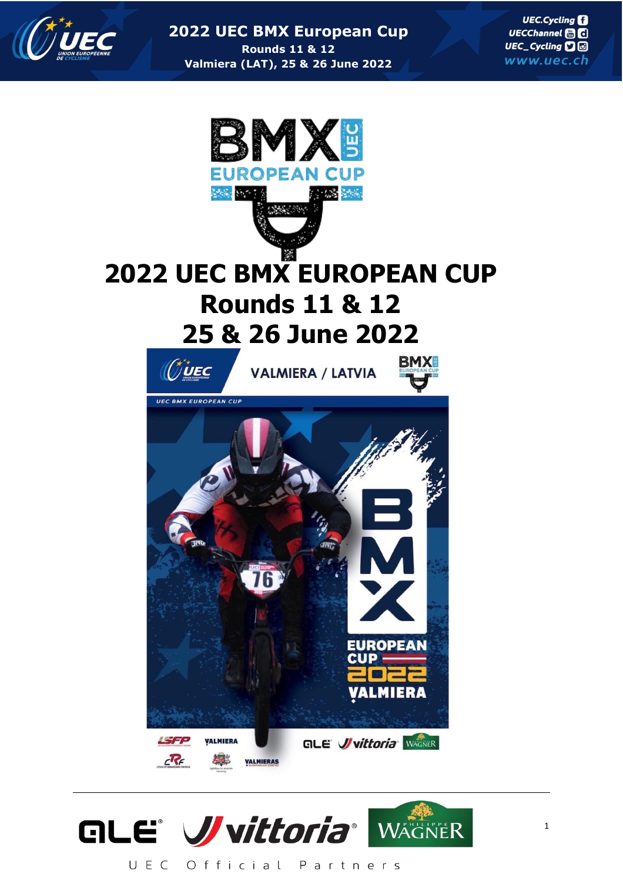

**UEC.Cycling** UECChannel **and** UEC\_Cycling **D** www.uec.ch



# **2022 UEC BMX EUROPEAN CUP Rounds 11 & 12 25 & 26 June 2022**



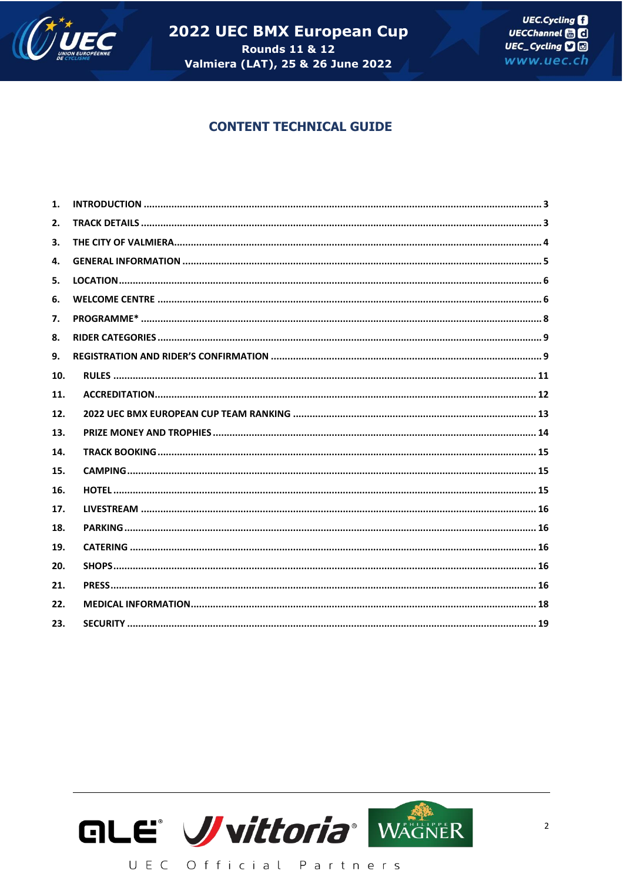

# 2022 UEC BMX European Cup **Rounds 11 & 12**

Valmiera (LAT), 25 & 26 June 2022

# **CONTENT TECHNICAL GUIDE**

| 1.  |  |
|-----|--|
| 2.  |  |
| 3.  |  |
| 4.  |  |
| 5.  |  |
| 6.  |  |
| 7.  |  |
| 8.  |  |
| 9.  |  |
| 10. |  |
| 11. |  |
| 12. |  |
| 13. |  |
| 14. |  |
| 15. |  |
| 16. |  |
| 17. |  |
| 18. |  |
| 19. |  |
| 20. |  |
| 21. |  |
| 22. |  |
| 23. |  |

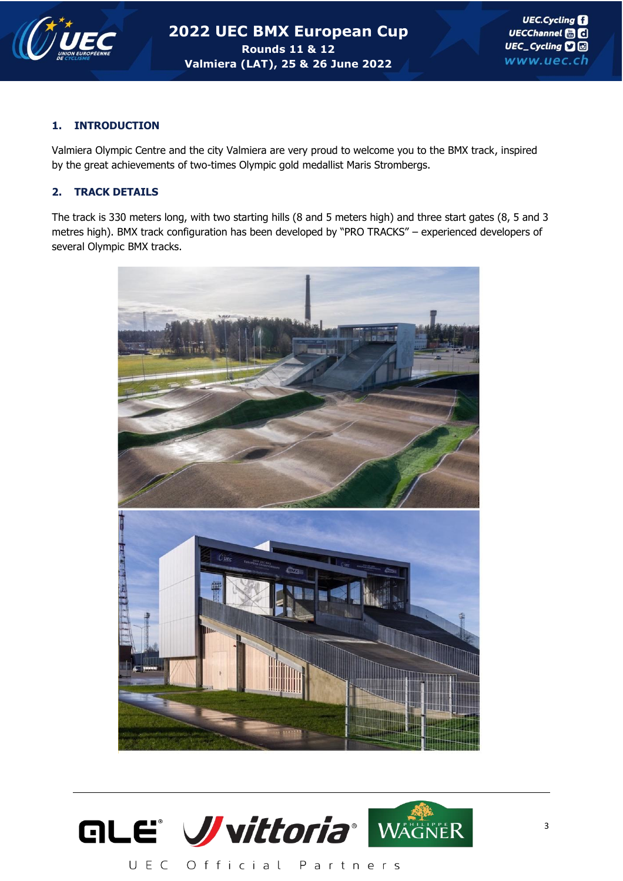

# <span id="page-2-0"></span>**1. INTRODUCTION**

Valmiera Olympic Centre and the city Valmiera are very proud to welcome you to the BMX track, inspired by the great achievements of two-times Olympic gold medallist Maris Strombergs.

# <span id="page-2-1"></span>**2. TRACK DETAILS**

The track is 330 meters long, with two starting hills (8 and 5 meters high) and three start gates (8, 5 and 3 metres high). BMX track configuration has been developed by "PRO TRACKS" – experienced developers of several Olympic BMX tracks.



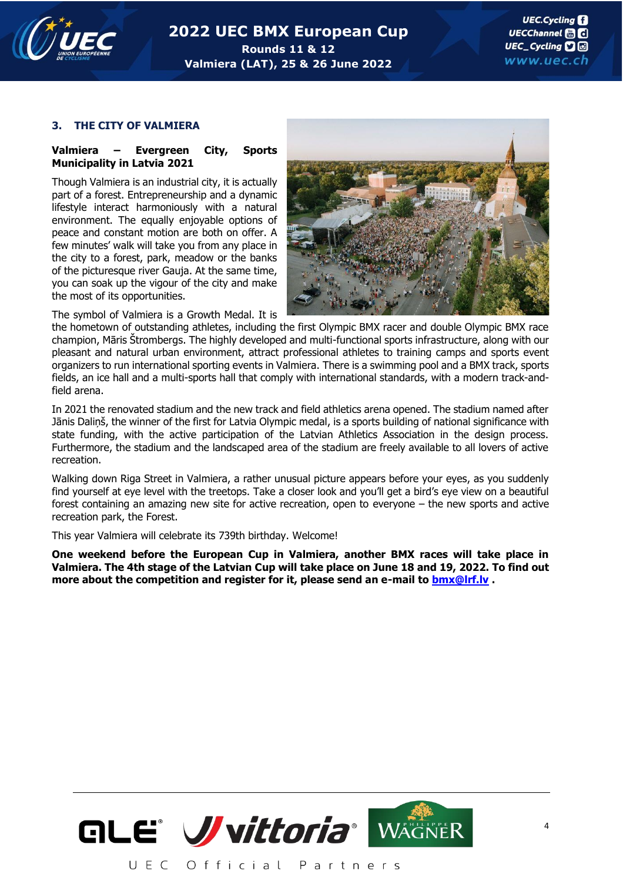

# <span id="page-3-0"></span>**3. THE CITY OF VALMIERA**

#### **Valmiera – Evergreen City, Sports Municipality in Latvia 2021**

Though Valmiera is an industrial city, it is actually part of a forest. Entrepreneurship and a dynamic lifestyle interact harmoniously with a natural environment. The equally enjoyable options of peace and constant motion are both on offer. A few minutes' walk will take you from any place in the city to a forest, park, meadow or the banks of the picturesque river Gauja. At the same time, you can soak up the vigour of the city and make the most of its opportunities.



The symbol of Valmiera is a Growth Medal. It is

the hometown of outstanding athletes, including the first Olympic BMX racer and double Olympic BMX race champion, Māris Štrombergs. The highly developed and multi-functional sports infrastructure, along with our pleasant and natural urban environment, attract professional athletes to training camps and sports event organizers to run international sporting events in Valmiera. There is a swimming pool and a BMX track, sports fields, an ice hall and a multi-sports hall that comply with international standards, with a modern track-andfield arena.

In 2021 the renovated stadium and the new track and field athletics arena opened. The stadium named after Jānis Daliņš, the winner of the first for Latvia Olympic medal, is a sports building of national significance with state funding, with the active participation of the Latvian Athletics Association in the design process. Furthermore, the stadium and the landscaped area of the stadium are freely available to all lovers of active recreation.

Walking down Riga Street in Valmiera, a rather unusual picture appears before your eyes, as you suddenly find yourself at eye level with the treetops. Take a closer look and you'll get a bird's eye view on a beautiful forest containing an amazing new site for active recreation, open to everyone – the new sports and active recreation park, the Forest.

This year Valmiera will celebrate its 739th birthday. Welcome!

**One weekend before the European Cup in Valmiera, another BMX races will take place in Valmiera. The 4th stage of the Latvian Cup will take place on June 18 and 19, 2022. To find out more about the competition and register for it, please send an e-mail to [bmx@lrf.lv](mailto:bmx@lrf.lv) .**

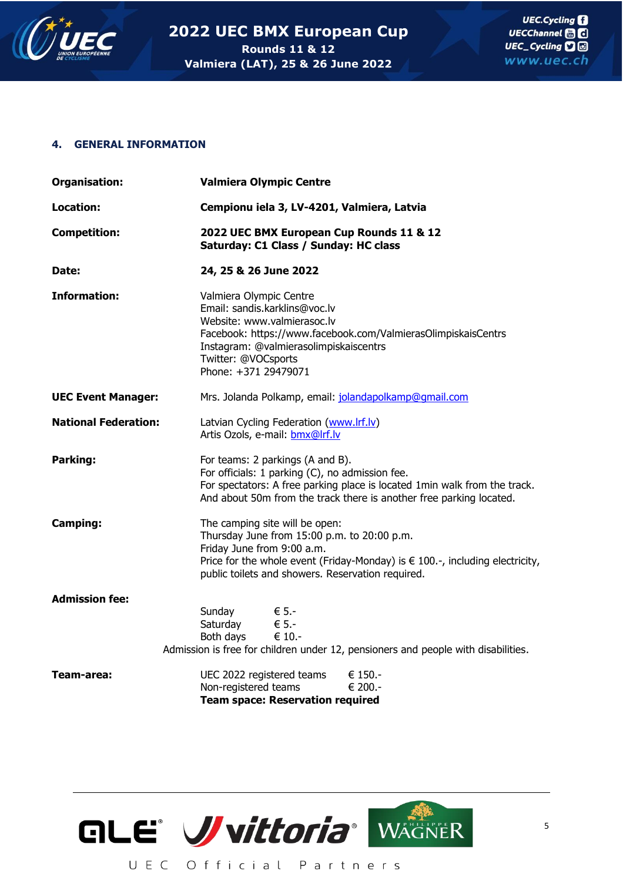

# <span id="page-4-0"></span>**4. GENERAL INFORMATION**

| <b>Organisation:</b>        | <b>Valmiera Olympic Centre</b>                                                                                                                                                                                                                       |  |  |
|-----------------------------|------------------------------------------------------------------------------------------------------------------------------------------------------------------------------------------------------------------------------------------------------|--|--|
| Location:                   | Cempionu iela 3, LV-4201, Valmiera, Latvia                                                                                                                                                                                                           |  |  |
| <b>Competition:</b>         | 2022 UEC BMX European Cup Rounds 11 & 12<br>Saturday: C1 Class / Sunday: HC class                                                                                                                                                                    |  |  |
| Date:                       | 24, 25 & 26 June 2022                                                                                                                                                                                                                                |  |  |
| Information:                | Valmiera Olympic Centre<br>Email: sandis.karklins@voc.lv<br>Website: www.valmierasoc.lv<br>Facebook: https://www.facebook.com/ValmierasOlimpiskaisCentrs<br>Instagram: @valmierasolimpiskaiscentrs<br>Twitter: @VOCsports<br>Phone: +371 29479071    |  |  |
| <b>UEC Event Manager:</b>   | Mrs. Jolanda Polkamp, email: jolandapolkamp@qmail.com                                                                                                                                                                                                |  |  |
| <b>National Federation:</b> | Latvian Cycling Federation (www.lrf.lv)<br>Artis Ozols, e-mail: bmx@lrf.lv                                                                                                                                                                           |  |  |
| Parking:                    | For teams: 2 parkings (A and B).<br>For officials: 1 parking (C), no admission fee.<br>For spectators: A free parking place is located 1min walk from the track.<br>And about 50m from the track there is another free parking located.              |  |  |
| Camping:                    | The camping site will be open:<br>Thursday June from 15:00 p.m. to 20:00 p.m.<br>Friday June from 9:00 a.m.<br>Price for the whole event (Friday-Monday) is $\in$ 100.-, including electricity,<br>public toilets and showers. Reservation required. |  |  |
| <b>Admission fee:</b>       | € 5.-<br>Sunday<br>€ 5.-<br>Saturday<br>€ 10.-<br>Both days<br>Admission is free for children under 12, pensioners and people with disabilities.                                                                                                     |  |  |
| Team-area:                  | € 150.-<br>UEC 2022 registered teams<br>Non-registered teams<br>€ 200.-<br><b>Team space: Reservation required</b>                                                                                                                                   |  |  |

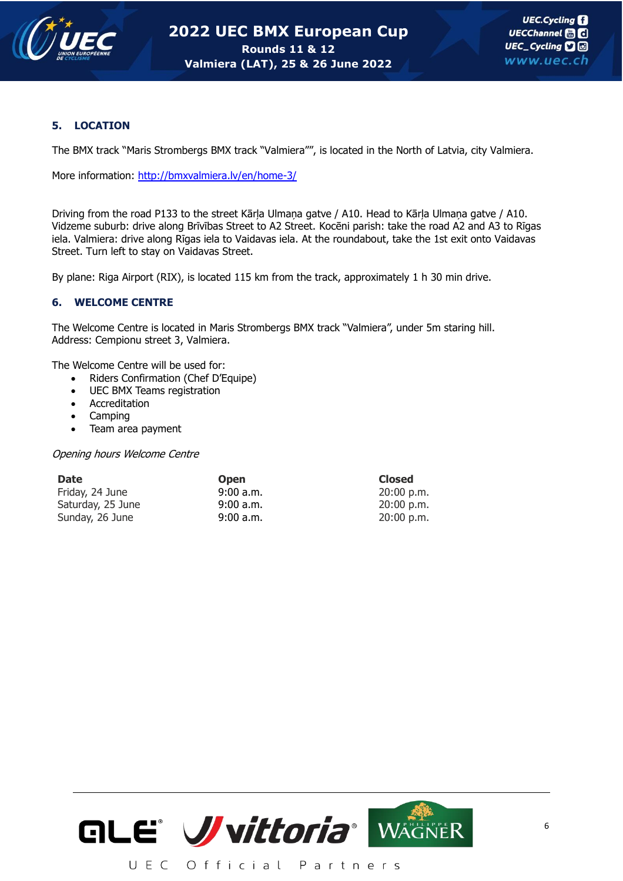

# <span id="page-5-0"></span>**5. LOCATION**

The BMX track "Maris Strombergs BMX track "Valmiera"", is located in the North of Latvia, city Valmiera.

More information:<http://bmxvalmiera.lv/en/home-3/>

Driving from the road P133 to the street Kārla Ulmana gatve / A10. Head to Kārla Ulmana gatve / A10. Vidzeme suburb: drive along Brīvības Street to A2 Street. Kocēni parish: take the road A2 and A3 to Rīgas iela. Valmiera: drive along Rīgas iela to Vaidavas iela. At the roundabout, take the 1st exit onto Vaidavas Street. Turn left to stay on Vaidavas Street.

By plane: Riga Airport (RIX), is located 115 km from the track, approximately 1 h 30 min drive.

# <span id="page-5-1"></span>**6. WELCOME CENTRE**

The Welcome Centre is located in Maris Strombergs BMX track "Valmiera", under 5m staring hill. Address: Cempionu street 3, Valmiera.

The Welcome Centre will be used for:

- Riders Confirmation (Chef D'Equipe)
- UEC BMX Teams registration
- **Accreditation**
- Camping
- Team area payment

Opening hours Welcome Centre

| <b>Date</b>       | <b>Open</b> | <b>Closed</b> |
|-------------------|-------------|---------------|
| Friday, 24 June   | $9:00$ a.m. | $20:00$ p.m.  |
| Saturday, 25 June | $9:00$ a.m. | $20:00$ p.m.  |
| Sunday, 26 June   | 9:00 a.m.   | $20:00$ p.m.  |

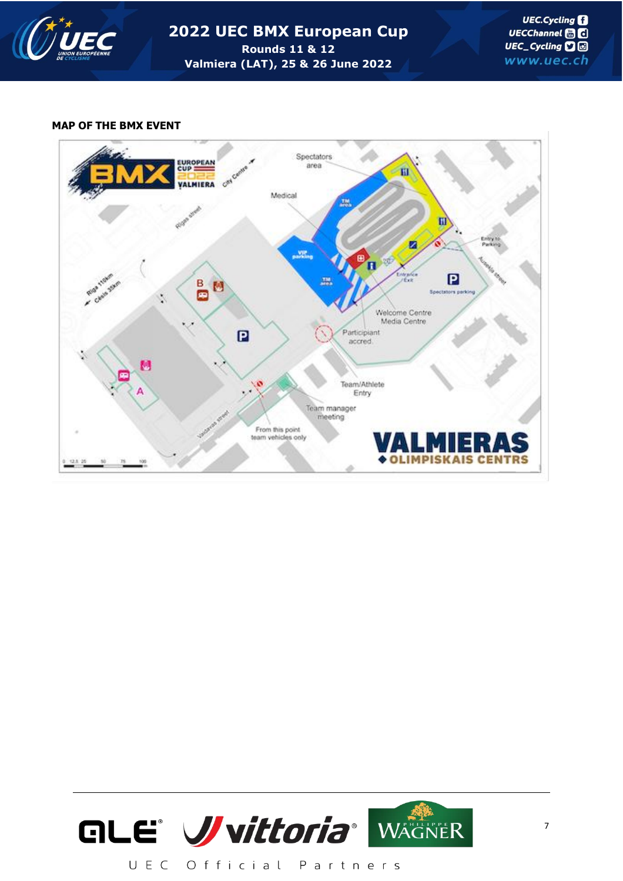

**UEC.Cycling** UECChannel **and** UEC\_Cycling **D** www.uec.ch

# **MAP OF THE BMX EVENT**



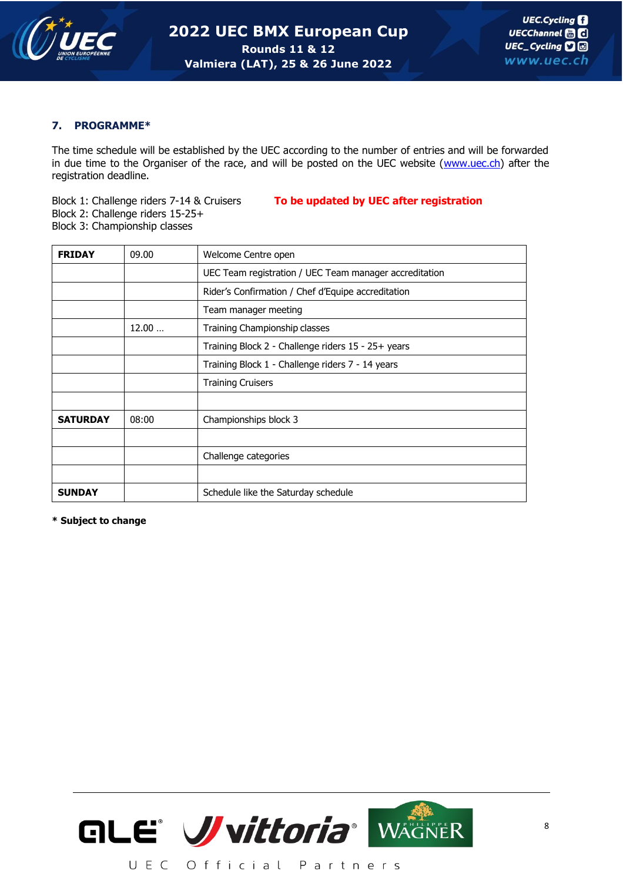

# <span id="page-7-0"></span>**7. PROGRAMME\***

The time schedule will be established by the UEC according to the number of entries and will be forwarded in due time to the Organiser of the race, and will be posted on the UEC website [\(www.uec.ch\)](http://www.uec.ch/) after the registration deadline.

Block 2: Challenge riders 15-25+ Block 3: Championship classes

Block 1: Challenge riders 7-14 & Cruisers **To be updated by UEC after registration**

| <b>FRIDAY</b>   | 09.00 | Welcome Centre open                                    |  |
|-----------------|-------|--------------------------------------------------------|--|
|                 |       | UEC Team registration / UEC Team manager accreditation |  |
|                 |       | Rider's Confirmation / Chef d'Equipe accreditation     |  |
|                 |       | Team manager meeting                                   |  |
|                 | 12.00 | Training Championship classes                          |  |
|                 |       | Training Block 2 - Challenge riders 15 - 25+ years     |  |
|                 |       | Training Block 1 - Challenge riders 7 - 14 years       |  |
|                 |       | <b>Training Cruisers</b>                               |  |
|                 |       |                                                        |  |
| <b>SATURDAY</b> | 08:00 | Championships block 3                                  |  |
|                 |       |                                                        |  |
|                 |       | Challenge categories                                   |  |
|                 |       |                                                        |  |
| <b>SUNDAY</b>   |       | Schedule like the Saturday schedule                    |  |

**\* Subject to change**

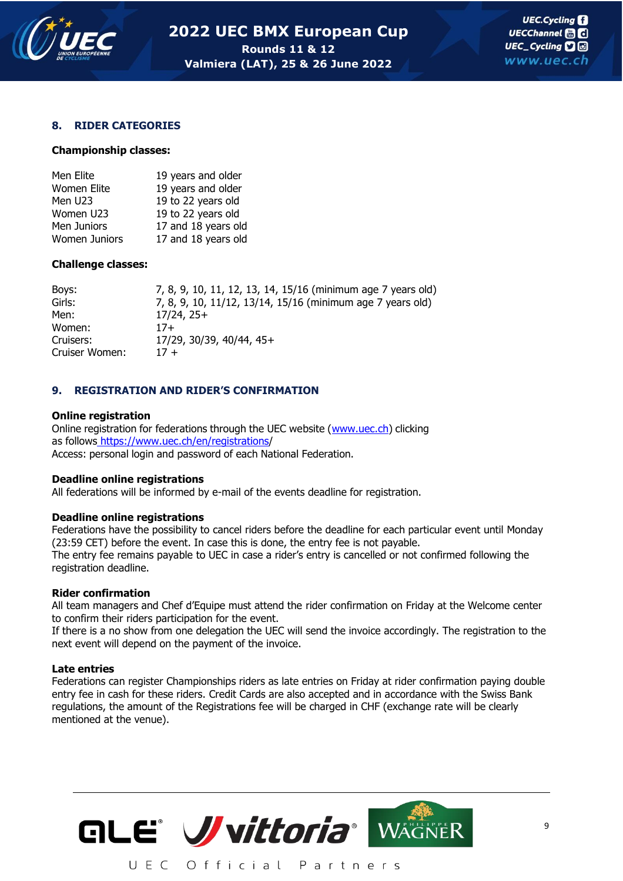

#### <span id="page-8-0"></span>**8. RIDER CATEGORIES**

#### **Championship classes:**

| Men Elite            | 19 years and older  |
|----------------------|---------------------|
| <b>Women Elite</b>   | 19 years and older  |
| Men U23              | 19 to 22 years old  |
| Women U23            | 19 to 22 years old  |
| Men Juniors          | 17 and 18 years old |
| <b>Women Juniors</b> | 17 and 18 years old |

#### **Challenge classes:**

| Boys:          | 7, 8, 9, 10, 11, 12, 13, 14, 15/16 (minimum age 7 years old) |
|----------------|--------------------------------------------------------------|
| Girls:         | 7, 8, 9, 10, 11/12, 13/14, 15/16 (minimum age 7 years old)   |
| Men:           | $17/24.25+$                                                  |
| Women:         | $17+$                                                        |
| Cruisers:      | 17/29, 30/39, 40/44, 45+                                     |
| Cruiser Women: | $17 +$                                                       |

#### <span id="page-8-1"></span>**9. REGISTRATION AND RIDER'S CONFIRMATION**

#### **Online registration**

Online registration for federations through the UEC website [\(www.uec.ch\)](file:///C:/Users/ruben.putzeys/AppData/Local/Microsoft/Windows/INetCache/Content.Outlook/7IKRM1XU/www.uec.ch) clicking as follows [https://www.uec.ch/en/registrations/](https://www.uec.ch/en/registrations) Access: personal login and password of each National Federation.

#### **Deadline online registrations**

All federations will be informed by e-mail of the events deadline for registration.

#### **Deadline online registrations**

Federations have the possibility to cancel riders before the deadline for each particular event until Monday (23:59 CET) before the event. In case this is done, the entry fee is not payable. The entry fee remains payable to UEC in case a rider's entry is cancelled or not confirmed following the registration deadline.

#### **Rider confirmation**

All team managers and Chef d'Equipe must attend the rider confirmation on Friday at the Welcome center to confirm their riders participation for the event.

If there is a no show from one delegation the UEC will send the invoice accordingly. The registration to the next event will depend on the payment of the invoice.

#### **Late entries**

Federations can register Championships riders as late entries on Friday at rider confirmation paying double entry fee in cash for these riders. Credit Cards are also accepted and in accordance with the Swiss Bank regulations, the amount of the Registrations fee will be charged in CHF (exchange rate will be clearly mentioned at the venue).

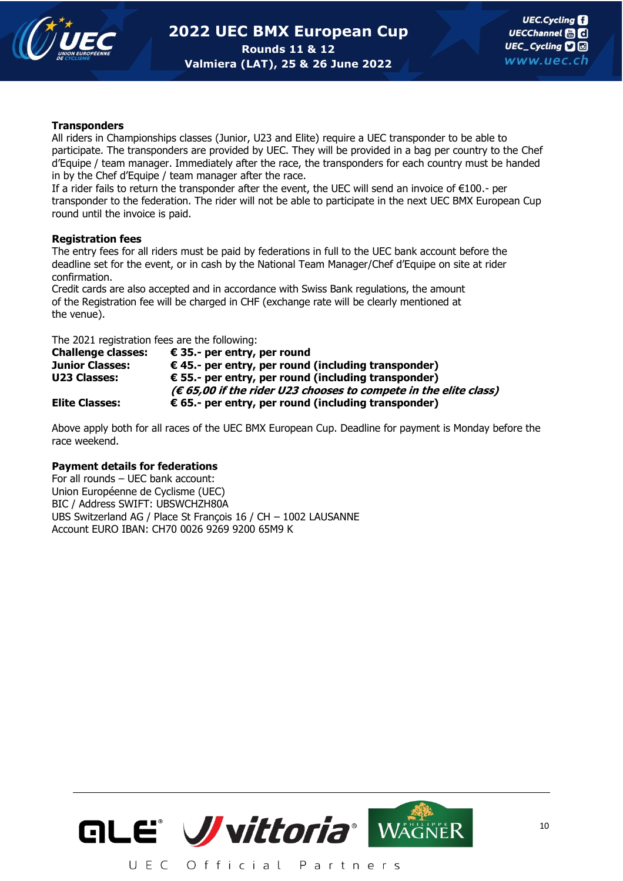

# **Transponders**

All riders in Championships classes (Junior, U23 and Elite) require a UEC transponder to be able to participate. The transponders are provided by UEC. They will be provided in a bag per country to the Chef d'Equipe / team manager. Immediately after the race, the transponders for each country must be handed in by the Chef d'Equipe / team manager after the race.

If a rider fails to return the transponder after the event, the UEC will send an invoice of €100.- per transponder to the federation. The rider will not be able to participate in the next UEC BMX European Cup round until the invoice is paid.

#### **Registration fees**

The entry fees for all riders must be paid by federations in full to the UEC bank account before the deadline set for the event, or in cash by the National Team Manager/Chef d'Equipe on site at rider confirmation.

Credit cards are also accepted and in accordance with Swiss Bank regulations, the amount of the Registration fee will be charged in CHF (exchange rate will be clearly mentioned at the venue).

The 2021 registration fees are the following:

| <b>Challenge classes:</b> | € 35.- per entry, per round                                               |
|---------------------------|---------------------------------------------------------------------------|
| <b>Junior Classes:</b>    | € 45.- per entry, per round (including transponder)                       |
| U23 Classes:              | € 55.- per entry, per round (including transponder)                       |
|                           | $(\epsilon$ 65,00 if the rider U23 chooses to compete in the elite class) |
| <b>Elite Classes:</b>     | € 65.- per entry, per round (including transponder)                       |

Above apply both for all races of the UEC BMX European Cup. Deadline for payment is Monday before the race weekend.

# **Payment details for federations**

For all rounds – UEC bank account: Union Européenne de Cyclisme (UEC) BIC / Address SWIFT: UBSWCHZH80A UBS Switzerland AG / Place St François 16 / CH – 1002 LAUSANNE Account EURO IBAN: CH70 0026 9269 9200 65M9 K

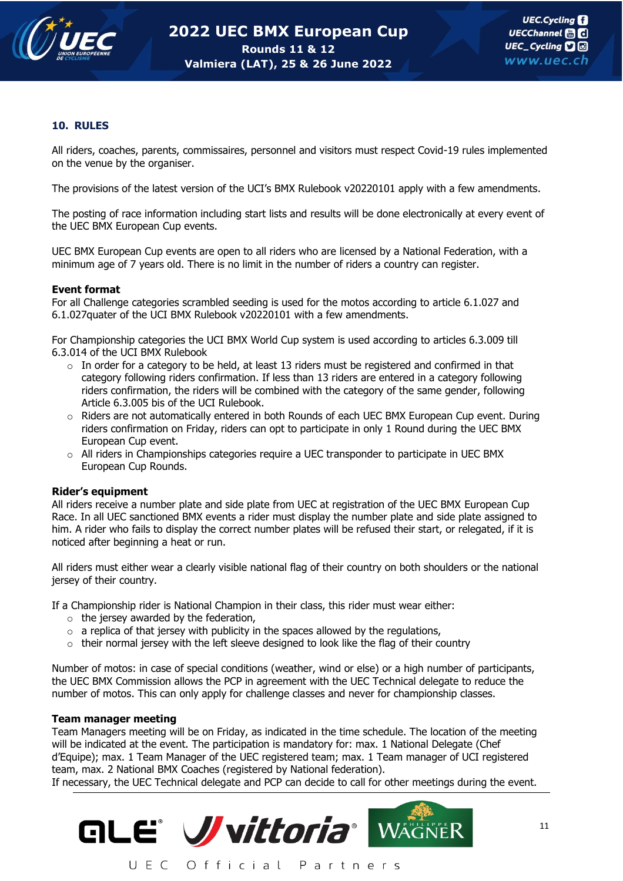

# <span id="page-10-0"></span>**10. RULES**

All riders, coaches, parents, commissaires, personnel and visitors must respect Covid-19 rules implemented on the venue by the organiser.

The provisions of the latest version of the UCI's BMX Rulebook v20220101 apply with a few amendments.

The posting of race information including start lists and results will be done electronically at every event of the UEC BMX European Cup events.

UEC BMX European Cup events are open to all riders who are licensed by a National Federation, with a minimum age of 7 years old. There is no limit in the number of riders a country can register.

#### **Event format**

For all Challenge categories scrambled seeding is used for the motos according to article 6.1.027 and 6.1.027quater of the UCI BMX Rulebook v20220101 with a few amendments.

For Championship categories the UCI BMX World Cup system is used according to articles 6.3.009 till 6.3.014 of the UCI BMX Rulebook

- $\circ$  In order for a category to be held, at least 13 riders must be registered and confirmed in that category following riders confirmation. If less than 13 riders are entered in a category following riders confirmation, the riders will be combined with the category of the same gender, following Article 6.3.005 bis of the UCI Rulebook.
- $\circ$  Riders are not automatically entered in both Rounds of each UEC BMX European Cup event. During riders confirmation on Friday, riders can opt to participate in only 1 Round during the UEC BMX European Cup event.
- $\circ$  All riders in Championships categories require a UEC transponder to participate in UEC BMX European Cup Rounds.

#### **Rider's equipment**

All riders receive a number plate and side plate from UEC at registration of the UEC BMX European Cup Race. In all UEC sanctioned BMX events a rider must display the number plate and side plate assigned to him. A rider who fails to display the correct number plates will be refused their start, or relegated, if it is noticed after beginning a heat or run.

All riders must either wear a clearly visible national flag of their country on both shoulders or the national jersey of their country.

If a Championship rider is National Champion in their class, this rider must wear either:

- $\circ$  the jersey awarded by the federation,
- $\circ$  a replica of that jersey with publicity in the spaces allowed by the regulations,
- $\circ$  their normal jersey with the left sleeve designed to look like the flag of their country

Number of motos: in case of special conditions (weather, wind or else) or a high number of participants, the UEC BMX Commission allows the PCP in agreement with the UEC Technical delegate to reduce the number of motos. This can only apply for challenge classes and never for championship classes.

#### **Team manager meeting**

Team Managers meeting will be on Friday, as indicated in the time schedule. The location of the meeting will be indicated at the event. The participation is mandatory for: max. 1 National Delegate (Chef d'Equipe); max. 1 Team Manager of the UEC registered team; max. 1 Team manager of UCI registered team, max. 2 National BMX Coaches (registered by National federation).

If necessary, the UEC Technical delegate and PCP can decide to call for other meetings during the event.

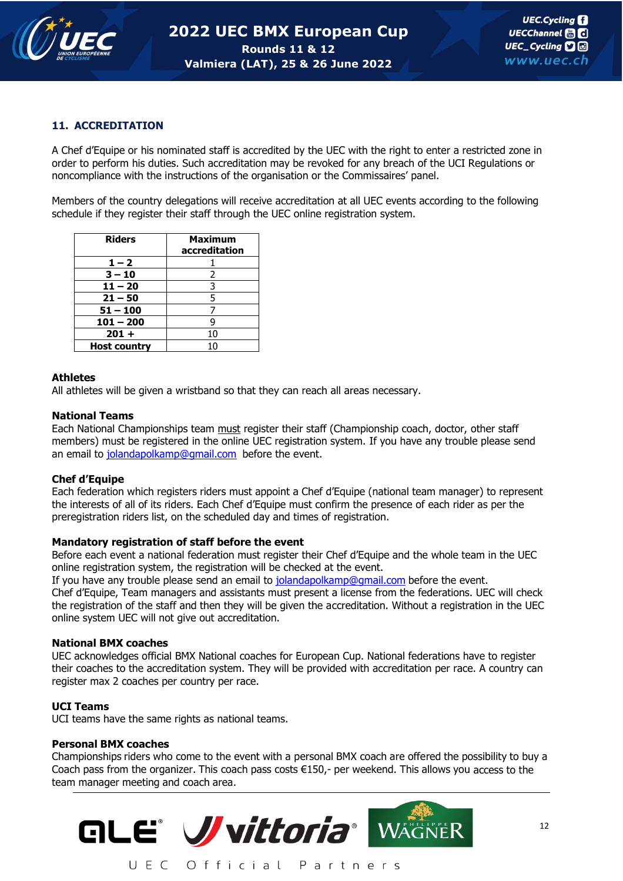

# <span id="page-11-0"></span>**11. ACCREDITATION**

A Chef d'Equipe or his nominated staff is accredited by the UEC with the right to enter a restricted zone in order to perform his duties. Such accreditation may be revoked for any breach of the UCI Regulations or noncompliance with the instructions of the organisation or the Commissaires' panel.

Members of the country delegations will receive accreditation at all UEC events according to the following schedule if they register their staff through the UEC online registration system.

| <b>Riders</b>       | <b>Maximum</b><br>accreditation |
|---------------------|---------------------------------|
| $1 - 2$             |                                 |
| $3 - 10$            | 2                               |
| $11 - 20$           | 3                               |
| $21 - 50$           | 5                               |
| $51 - 100$          |                                 |
| $101 - 200$         | g                               |
| $201 +$             | 10                              |
| <b>Host country</b> | 10                              |

# **Athletes**

All athletes will be given a wristband so that they can reach all areas necessary.

# **National Teams**

Each National Championships team must register their staff (Championship coach, doctor, other staff members) must be registered in the online UEC registration system. If you have any trouble please send an email to [jolandapolkamp@gmail.com](mailto:jolandapolkamp@gmail.com) before the event.

# **Chef d'Equipe**

Each federation which registers riders must appoint a Chef d'Equipe (national team manager) to represent the interests of all of its riders. Each Chef d'Equipe must confirm the presence of each rider as per the preregistration riders list, on the scheduled day and times of registration.

# **Mandatory registration of staff before the event**

Before each event a national federation must register their Chef d'Equipe and the whole team in the UEC online registration system, the registration will be checked at the event.

If you have any trouble please send an email to [jolandapolkamp@gmail.com](mailto:jolandapolkamp@gmail.com) before the event.

Chef d'Equipe, Team managers and assistants must present a license from the federations. UEC will check the registration of the staff and then they will be given the accreditation. Without a registration in the UEC online system UEC will not give out accreditation.

# **National BMX coaches**

UEC acknowledges official BMX National coaches for European Cup. National federations have to register their coaches to the accreditation system. They will be provided with accreditation per race. A country can register max 2 coaches per country per race.

# **UCI Teams**

UCI teams have the same rights as national teams.

# **Personal BMX coaches**

Championships riders who come to the event with a personal BMX coach are offered the possibility to buy a Coach pass from the organizer. This coach pass costs €150,- per weekend. This allows you access to the team manager meeting and coach area.

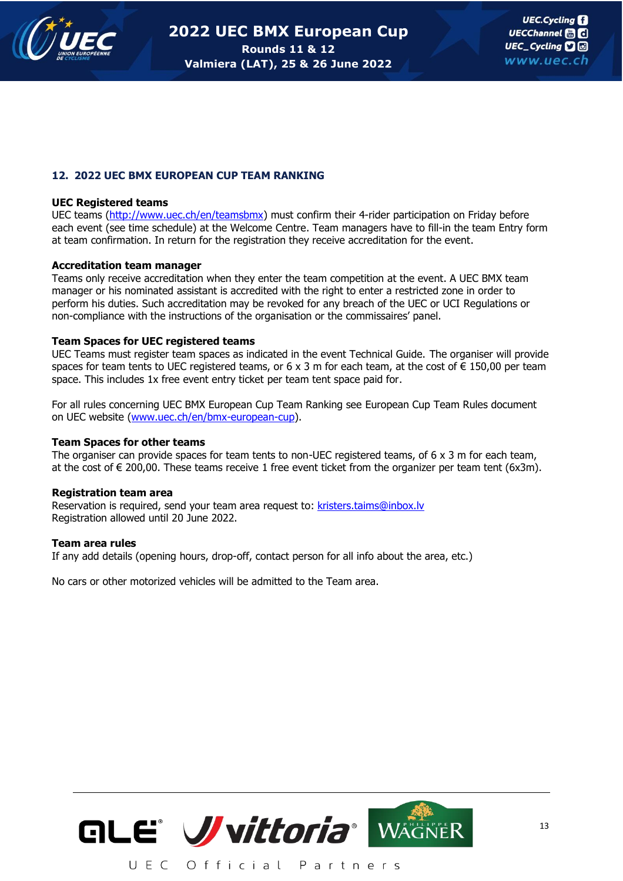

# <span id="page-12-0"></span>**12. 2022 UEC BMX EUROPEAN CUP TEAM RANKING**

#### **UEC Registered teams**

UEC teams [\(http://www.uec.ch/en/teamsbmx\)](http://www.uec.ch/en/teamsbmx) must confirm their 4-rider participation on Friday before each event (see time schedule) at the Welcome Centre. Team managers have to fill-in the team Entry form at team confirmation. In return for the registration they receive accreditation for the event.

#### **Accreditation team manager**

Teams only receive accreditation when they enter the team competition at the event. A UEC BMX team manager or his nominated assistant is accredited with the right to enter a restricted zone in order to perform his duties. Such accreditation may be revoked for any breach of the UEC or UCI Regulations or non-compliance with the instructions of the organisation or the commissaires' panel.

#### **Team Spaces for UEC registered teams**

UEC Teams must register team spaces as indicated in the event Technical Guide. The organiser will provide spaces for team tents to UEC registered teams, or 6 x 3 m for each team, at the cost of  $\epsilon$  150,00 per team space. This includes 1x free event entry ticket per team tent space paid for.

For all rules concerning UEC BMX European Cup Team Ranking see European Cup Team Rules document on UEC website [\(www.uec.ch/en/bmx-european-cup\)](http://www.uec.ch/en/bmx-european-cup).

#### **Team Spaces for other teams**

The organiser can provide spaces for team tents to non-UEC registered teams, of 6 x 3 m for each team, at the cost of  $\epsilon$  200,00. These teams receive 1 free event ticket from the organizer per team tent (6x3m).

#### **Registration team area**

Reservation is required, send your team area request to: [kristers.taims@inbox.lv](mailto:kristers.taims@inbox.lv) Registration allowed until 20 June 2022.

#### **Team area rules**

If any add details (opening hours, drop-off, contact person for all info about the area, etc.)

No cars or other motorized vehicles will be admitted to the Team area.

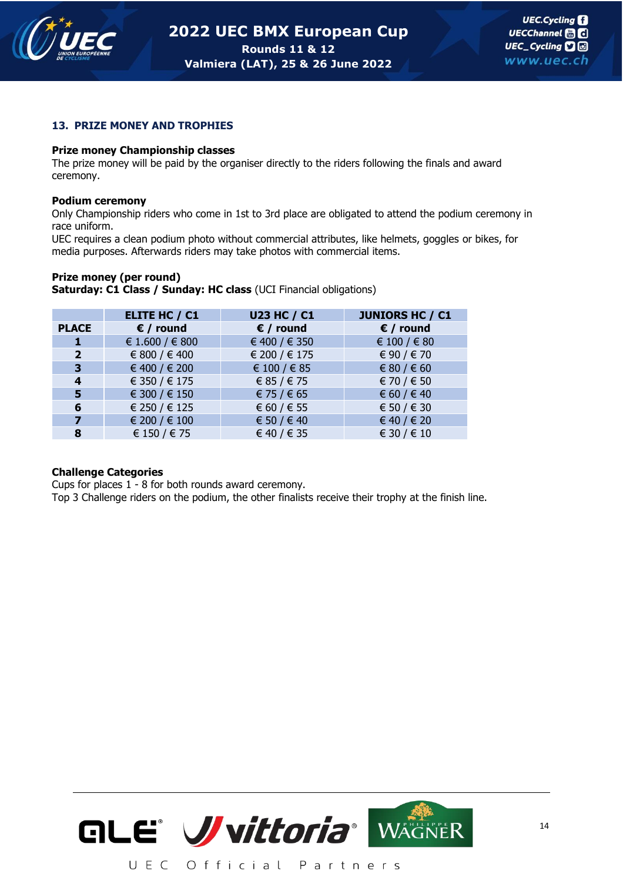

# <span id="page-13-0"></span>**13. PRIZE MONEY AND TROPHIES**

#### **Prize money Championship classes**

The prize money will be paid by the organiser directly to the riders following the finals and award ceremony.

#### **Podium ceremony**

Only Championship riders who come in 1st to 3rd place are obligated to attend the podium ceremony in race uniform.

UEC requires a clean podium photo without commercial attributes, like helmets, goggles or bikes, for media purposes. Afterwards riders may take photos with commercial items.

# **Prize money (per round)**

**Saturday: C1 Class / Sunday: HC class** (UCI Financial obligations)

|                | <b>ELITE HC / C1</b> | <b>U23 HC / C1</b>  | <b>JUNIORS HC / C1</b> |
|----------------|----------------------|---------------------|------------------------|
| <b>PLACE</b>   | $\epsilon$ / round   | $\epsilon$ / round  | $\epsilon$ / round     |
| 1              | € 1.600 / € 800      | € 400 / € 350       | € 100 / $∈$ 80         |
| $\overline{2}$ | 6800 / 6400          | € 200 / € 175       | € 90 / $∈$ 70          |
| 3              | € 400 / € 200        | € 100 / $\in$ 85    | € 80 / $∈$ 60          |
| 4              | € 350 / € 175        | € 85 / $∈$ 75       | € 70 / € 50            |
| 5              | € 300 / € 150        | € 75 / $∈$ 65       | $\in$ 60 / $\in$ 40    |
| 6              | € 250 / € 125        | € 60 / € 55         | € 50 / € 30            |
| 7              | € 200 / € 100        | $\in$ 50 / $\in$ 40 | $\in$ 40 / $\in$ 20    |
| 8              | € 150 / € 75         | € 40 / $∈$ 35       | $\in$ 30 / $\in$ 10    |

#### **Challenge Categories**

Cups for places 1 - 8 for both rounds award ceremony. Top 3 Challenge riders on the podium, the other finalists receive their trophy at the finish line.

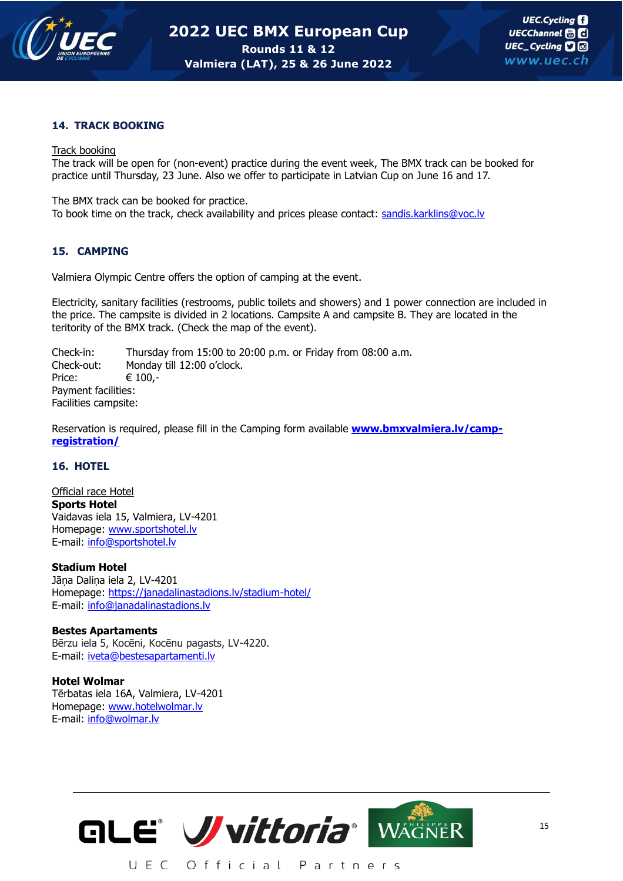

# <span id="page-14-0"></span>**14. TRACK BOOKING**

Track booking

The track will be open for (non-event) practice during the event week, The BMX track can be booked for practice until Thursday, 23 June. Also we offer to participate in Latvian Cup on June 16 and 17.

The BMX track can be booked for practice.

To book time on the track, check availability and prices please contact: [sandis.karklins@voc.lv](mailto:sandis.karklins@voc.lv)

#### <span id="page-14-1"></span>**15. CAMPING**

Valmiera Olympic Centre offers the option of camping at the event.

Electricity, sanitary facilities (restrooms, public toilets and showers) and 1 power connection are included in the price. The campsite is divided in 2 locations. Campsite A and campsite B. They are located in the teritority of the BMX track. (Check the map of the event).

Check-in: Thursday from 15:00 to 20:00 p.m. or Friday from 08:00 a.m. Check-out: Monday till 12:00 o'clock. Price: € 100,- Payment facilities: Facilities campsite:

Reservation is required, please fill in the Camping form available **[www.bmxvalmiera.lv/camp](http://www.bmxvalmiera.lv/camp-registration/)[registration/](http://www.bmxvalmiera.lv/camp-registration/)**

#### <span id="page-14-2"></span>**16. HOTEL**

# Official race Hotel

**Sports Hotel** Vaidavas iela 15, Valmiera, LV-4201 Homepage: [www.sportshotel.lv](http://www.sportshotel.lv/) E-mail: [info@sportshotel.lv](mailto:info@sportshotel.lv)

#### **Stadium Hotel**

Jāna Dalina iela 2, LV-4201 Homepage:<https://janadalinastadions.lv/stadium-hotel/> E-mail: [info@janadalinastadions.lv](mailto:info@janadalinastadions.lv)

#### **Bestes Apartaments**

Bērzu iela 5, Kocēni, Kocēnu pagasts, LV-4220. E-mail: [iveta@bestesapartamenti.lv](mailto:iveta@bestesapartamenti.lv)

**Hotel Wolmar** Tērbatas iela 16A, Valmiera, LV-4201 Homepage: [www.hotelwolmar.lv](http://www.hotelwolmar.lv/) E-mail: [info@wolmar.lv](mailto:info@wolmar.lv)

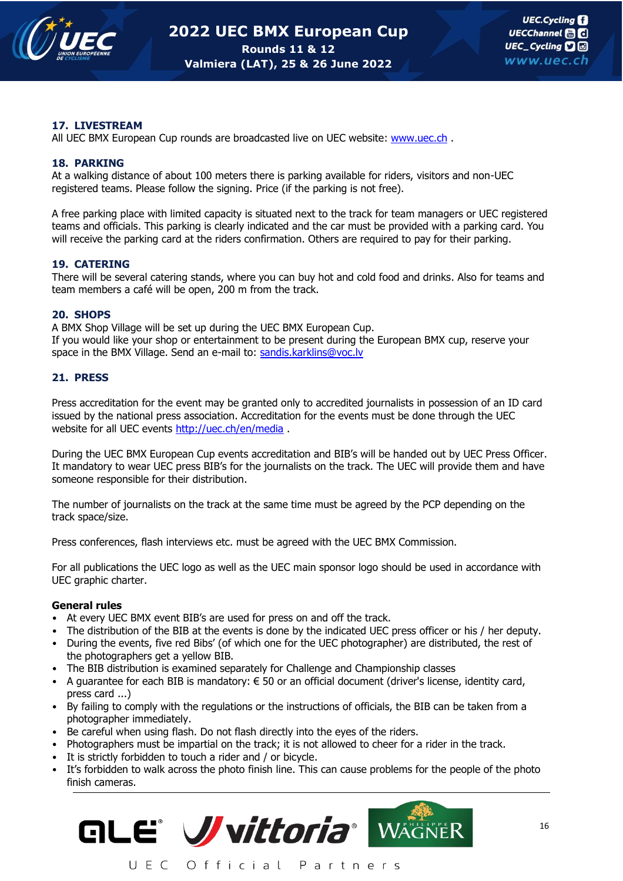

# <span id="page-15-0"></span>**17. LIVESTREAM**

All UEC BMX European Cup rounds are broadcasted live on UEC website: [www.uec.ch](http://www.uec.ch/) .

#### <span id="page-15-1"></span>**18. PARKING**

At a walking distance of about 100 meters there is parking available for riders, visitors and non-UEC registered teams. Please follow the signing. Price (if the parking is not free).

A free parking place with limited capacity is situated next to the track for team managers or UEC registered teams and officials. This parking is clearly indicated and the car must be provided with a parking card. You will receive the parking card at the riders confirmation. Others are required to pay for their parking.

# <span id="page-15-2"></span>**19. CATERING**

There will be several catering stands, where you can buy hot and cold food and drinks. Also for teams and team members a café will be open, 200 m from the track.

# <span id="page-15-3"></span>**20. SHOPS**

A BMX Shop Village will be set up during the UEC BMX European Cup. If you would like your shop or entertainment to be present during the European BMX cup, reserve your space in the BMX Village. Send an e-mail to: [sandis.karklins@voc.lv](mailto:sandis.karklins@voc.lv)

# <span id="page-15-4"></span>**21. PRESS**

Press accreditation for the event may be granted only to accredited journalists in possession of an ID card issued by the national press association. Accreditation for the events must be done through the UEC website for all UEC events<http://uec.ch/en/media> .

During the UEC BMX European Cup events accreditation and BIB's will be handed out by UEC Press Officer. It mandatory to wear UEC press BIB's for the journalists on the track. The UEC will provide them and have someone responsible for their distribution.

The number of journalists on the track at the same time must be agreed by the PCP depending on the track space/size.

Press conferences, flash interviews etc. must be agreed with the UEC BMX Commission.

For all publications the UEC logo as well as the UEC main sponsor logo should be used in accordance with UEC graphic charter.

#### **General rules**

- At every UEC BMX event BIB's are used for press on and off the track.
- The distribution of the BIB at the events is done by the indicated UEC press officer or his / her deputy.
- During the events, five red Bibs' (of which one for the UEC photographer) are distributed, the rest of the photographers get a yellow BIB.
- The BIB distribution is examined separately for Challenge and Championship classes
- A guarantee for each BIB is mandatory:  $\epsilon$  50 or an official document (driver's license, identity card, press card ...)
- By failing to comply with the regulations or the instructions of officials, the BIB can be taken from a photographer immediately.
- Be careful when using flash. Do not flash directly into the eyes of the riders.
- Photographers must be impartial on the track; it is not allowed to cheer for a rider in the track.
- It is strictly forbidden to touch a rider and / or bicycle.
- It's forbidden to walk across the photo finish line. This can cause problems for the people of the photo finish cameras.

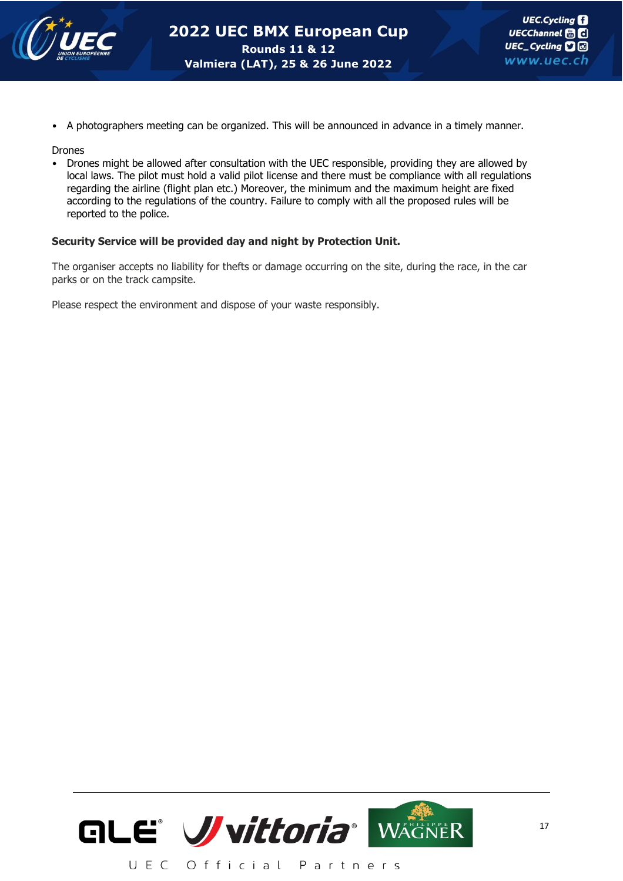

• A photographers meeting can be organized. This will be announced in advance in a timely manner.

Drones

• Drones might be allowed after consultation with the UEC responsible, providing they are allowed by local laws. The pilot must hold a valid pilot license and there must be compliance with all regulations regarding the airline (flight plan etc.) Moreover, the minimum and the maximum height are fixed according to the regulations of the country. Failure to comply with all the proposed rules will be reported to the police.

#### **Security Service will be provided day and night by Protection Unit.**

The organiser accepts no liability for thefts or damage occurring on the site, during the race, in the car parks or on the track campsite.

Please respect the environment and dispose of your waste responsibly.

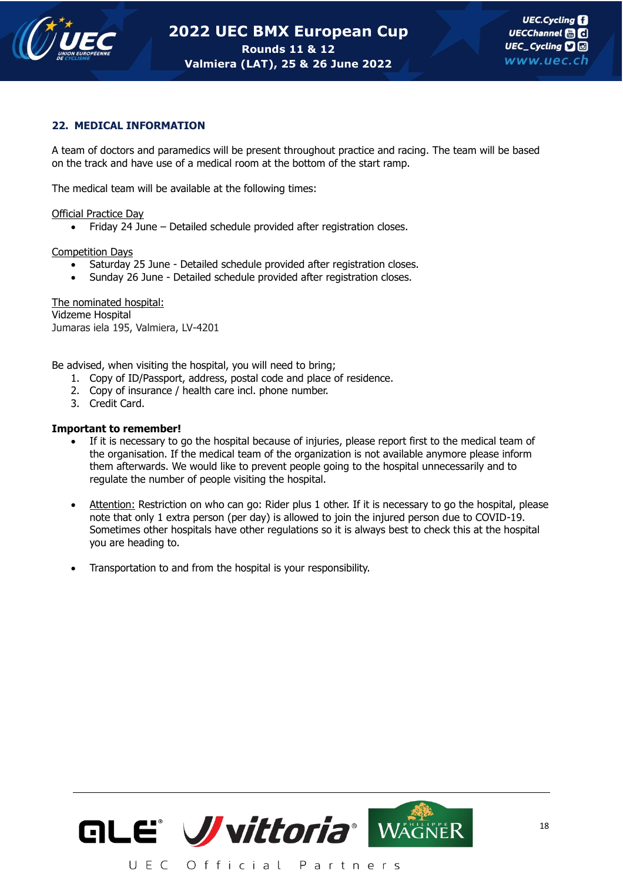

# <span id="page-17-0"></span>**22. MEDICAL INFORMATION**

A team of doctors and paramedics will be present throughout practice and racing. The team will be based on the track and have use of a medical room at the bottom of the start ramp.

The medical team will be available at the following times:

#### Official Practice Day

• Friday 24 June – Detailed schedule provided after registration closes.

Competition Days

- Saturday 25 June Detailed schedule provided after registration closes.
- Sunday 26 June Detailed schedule provided after registration closes.

The nominated hospital: Vidzeme Hospital Jumaras iela 195, Valmiera, LV-4201

Be advised, when visiting the hospital, you will need to bring;

- 1. Copy of ID/Passport, address, postal code and place of residence.
- 2. Copy of insurance / health care incl. phone number.
- 3. Credit Card.

#### **Important to remember!**

- If it is necessary to go the hospital because of injuries, please report first to the medical team of the organisation. If the medical team of the organization is not available anymore please inform them afterwards. We would like to prevent people going to the hospital unnecessarily and to regulate the number of people visiting the hospital.
- Attention: Restriction on who can go: Rider plus 1 other. If it is necessary to go the hospital, please note that only 1 extra person (per day) is allowed to join the injured person due to COVID-19. Sometimes other hospitals have other regulations so it is always best to check this at the hospital you are heading to.
- Transportation to and from the hospital is your responsibility.